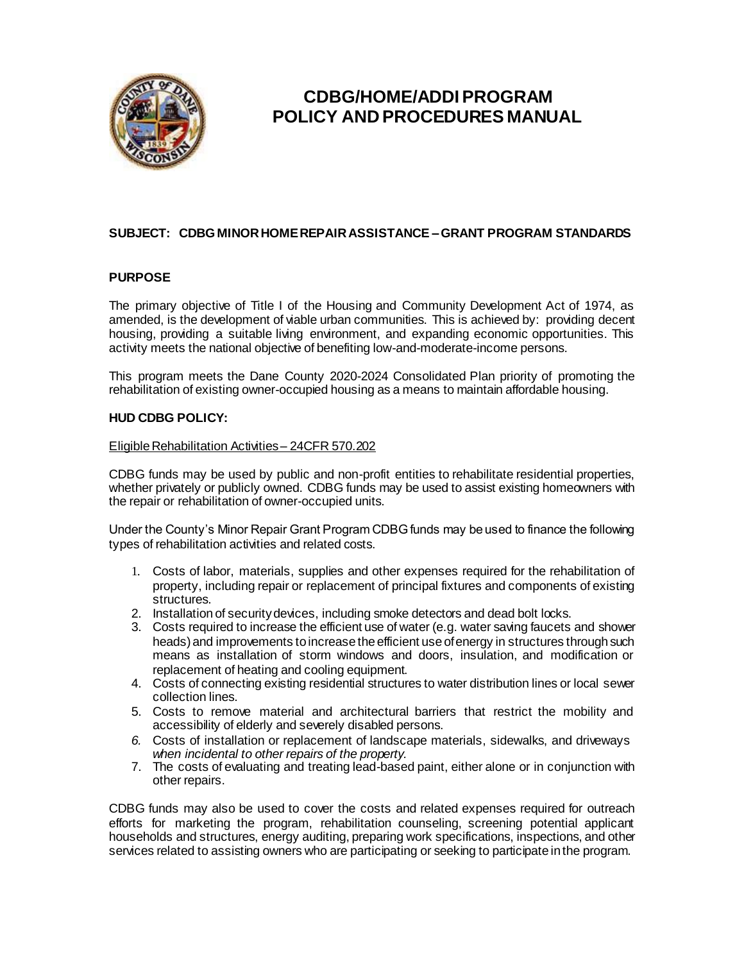

# **CDBG/HOME/ADDI PROGRAM POLICY AND PROCEDURES MANUAL**

## **SUBJECT: CDBG MINORHOMEREPAIRASSISTANCE –GRANT PROGRAM STANDARDS**

## **PURPOSE**

The primary objective of Title I of the Housing and Community Development Act of 1974, as amended, is the development of viable urban communities. This is achieved by: providing decent housing, providing a suitable living environment, and expanding economic opportunities. This activity meets the national objective of benefiting low-and-moderate-income persons.

This program meets the Dane County 2020-2024 Consolidated Plan priority of promoting the rehabilitation of existing owner-occupied housing as a means to maintain affordable housing.

## **HUD CDBG POLICY:**

#### Eligible Rehabilitation Activities - 24CFR 570.202

CDBG funds may be used by public and non-profit entities to rehabilitate residential properties, whether privately or publicly owned. CDBG funds may be used to assist existing homeowners with the repair or rehabilitation of owner-occupied units.

Under the County's Minor Repair Grant Program CDBG funds may be used to finance the following types of rehabilitation activities and related costs.

- 1. Costs of labor, materials, supplies and other expenses required for the rehabilitation of property, including repair or replacement of principal fixtures and components of existing structures.
- 2. Installation of securitydevices, including smoke detectors and dead bolt locks.
- 3. Costs required to increase the efficient use of water (e.g. water saving faucets and shower heads) and improvements to increase the efficient use of energy in structures through such means as installation of storm windows and doors, insulation, and modification or replacement of heating and cooling equipment.
- 4. Costs of connecting existing residential structures to water distribution lines or local sewer collection lines.
- 5. Costs to remove material and architectural barriers that restrict the mobility and accessibility of elderly and severely disabled persons.
- *6.* Costs of installation or replacement of landscape materials, sidewalks, and driveways *when incidental to other repairs of the property.*
- 7. The costs of evaluating and treating lead-based paint, either alone or in conjunction with other repairs.

CDBG funds may also be used to cover the costs and related expenses required for outreach efforts for marketing the program, rehabilitation counseling, screening potential applicant households and structures, energy auditing, preparing work specifications, inspections, and other services related to assisting owners who are participating or seeking to participate in the program.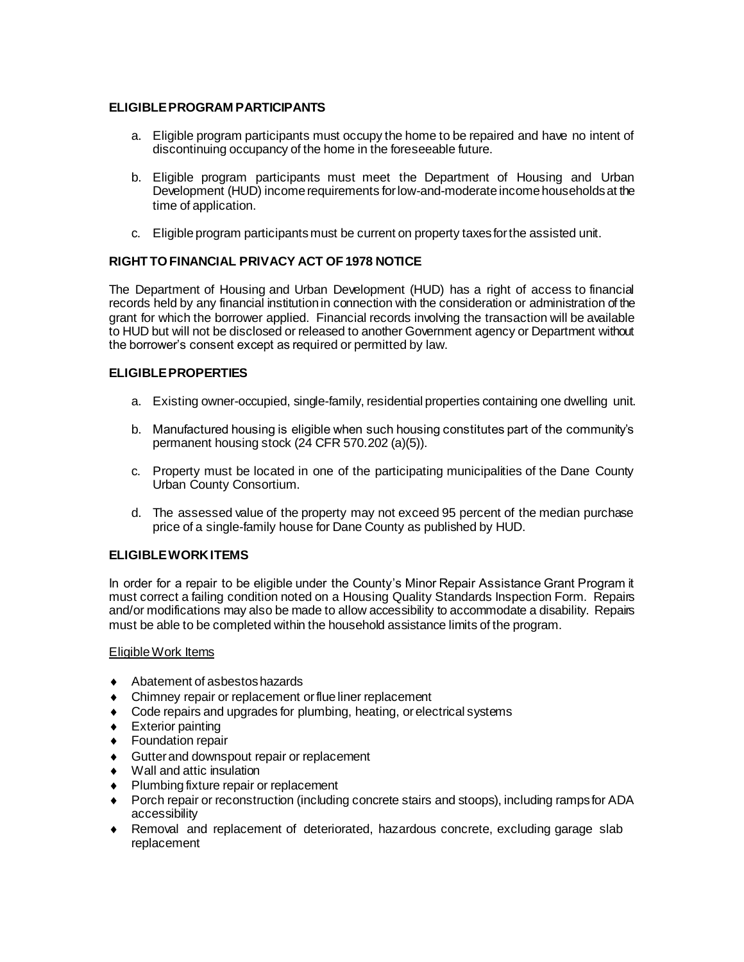## **ELIGIBLEPROGRAM PARTICIPANTS**

- a. Eligible program participants must occupy the home to be repaired and have no intent of discontinuing occupancy of the home in the foreseeable future.
- b. Eligible program participants must meet the Department of Housing and Urban Development (HUD) income requirements for low-and-moderate income households at the time of application.
- c. Eligible program participantsmust be current on property taxesforthe assisted unit.

## **RIGHT TOFINANCIAL PRIVACY ACT OF 1978 NOTICE**

The Department of Housing and Urban Development (HUD) has a right of access to financial records held by any financial institution in connection with the consideration or administration of the grant for which the borrower applied. Financial records involving the transaction will be available to HUD but will not be disclosed or released to another Government agency or Department without the borrower's consent except as required or permitted by law.

## **ELIGIBLEPROPERTIES**

- a. Existing owner-occupied, single-family, residential properties containing one dwelling unit.
- b. Manufactured housing is eligible when such housing constitutes part of the community's permanent housing stock (24 CFR 570.202 (a)(5)).
- c. Property must be located in one of the participating municipalities of the Dane County Urban County Consortium.
- d. The assessed value of the property may not exceed 95 percent of the median purchase price of a single-family house for Dane County as published by HUD.

## **ELIGIBLEWORKITEMS**

In order for a repair to be eligible under the County's Minor Repair Assistance Grant Program it must correct a failing condition noted on a Housing Quality Standards Inspection Form. Repairs and/or modifications may also be made to allow accessibility to accommodate a disability. Repairs must be able to be completed within the household assistance limits of the program.

#### EligibleWork Items

- ◆ Abatement of asbestos hazards
- Chimney repair or replacement orflue liner replacement
- Code repairs and upgrades for plumbing, heating, or electrical systems
- **Exterior painting**
- ◆ Foundation repair
- ◆ Gutter and downspout repair or replacement
- Wall and attic insulation
- Plumbing fixture repair or replacement
- Porch repair or reconstruction (including concrete stairs and stoops), including rampsfor ADA accessibility
- Removal and replacement of deteriorated, hazardous concrete, excluding garage slab replacement